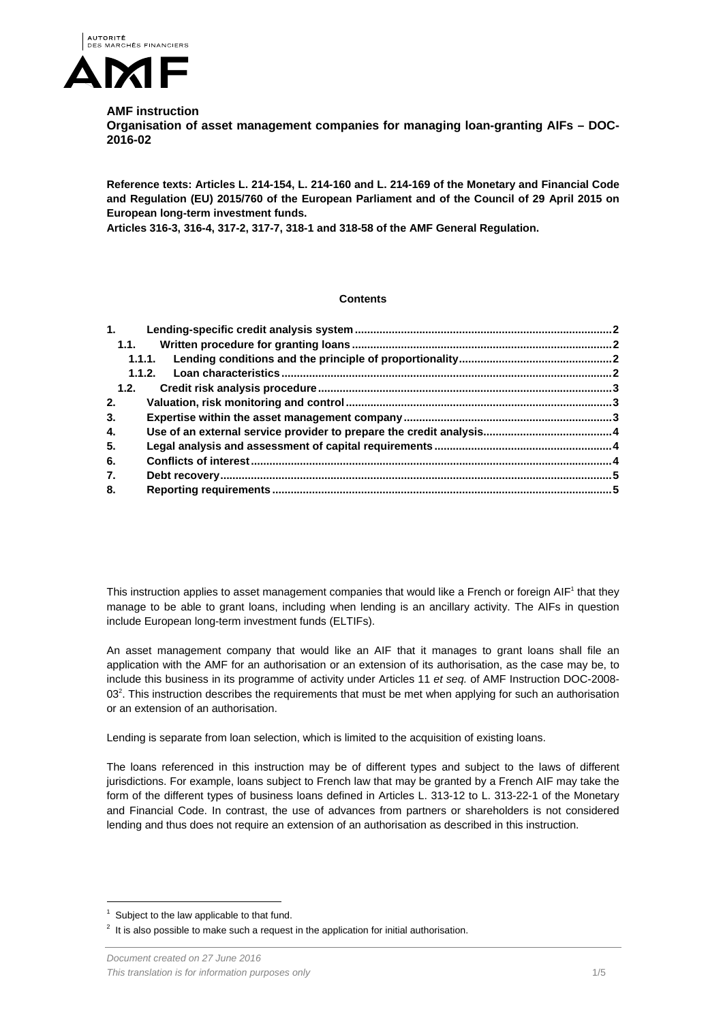

## **AMF instruction**

**Organisation of asset management companies for managing loan-granting AIFs – DOC-2016-02** 

**Reference texts: Articles L. 214-154, L. 214-160 and L. 214-169 of the Monetary and Financial Code and Regulation (EU) 2015/760 of the European Parliament and of the Council of 29 April 2015 on European long-term investment funds.** 

**Articles 316-3, 316-4, 317-2, 317-7, 318-1 and 318-58 of the AMF General Regulation.** 

#### **Contents**

| 1.11 |  |
|------|--|
|      |  |
|      |  |
|      |  |
| 1.2. |  |
| 2.   |  |
| 3.   |  |
| 4.   |  |
| 5.   |  |
| 6.   |  |
| 7.   |  |
| 8.   |  |

This instruction applies to asset management companies that would like a French or foreign AIF<sup>1</sup> that they manage to be able to grant loans, including when lending is an ancillary activity. The AIFs in question include European long-term investment funds (ELTIFs).

An asset management company that would like an AIF that it manages to grant loans shall file an application with the AMF for an authorisation or an extension of its authorisation, as the case may be, to include this business in its programme of activity under Articles 11 *et seq.* of AMF Instruction DOC-2008- 03<sup>2</sup>. This instruction describes the requirements that must be met when applying for such an authorisation or an extension of an authorisation.

Lending is separate from loan selection, which is limited to the acquisition of existing loans.

The loans referenced in this instruction may be of different types and subject to the laws of different jurisdictions. For example, loans subject to French law that may be granted by a French AIF may take the form of the different types of business loans defined in Articles L. 313-12 to L. 313-22-1 of the Monetary and Financial Code. In contrast, the use of advances from partners or shareholders is not considered lending and thus does not require an extension of an authorisation as described in this instruction.

l

<sup>1</sup> Subject to the law applicable to that fund.

 $2$  It is also possible to make such a request in the application for initial authorisation.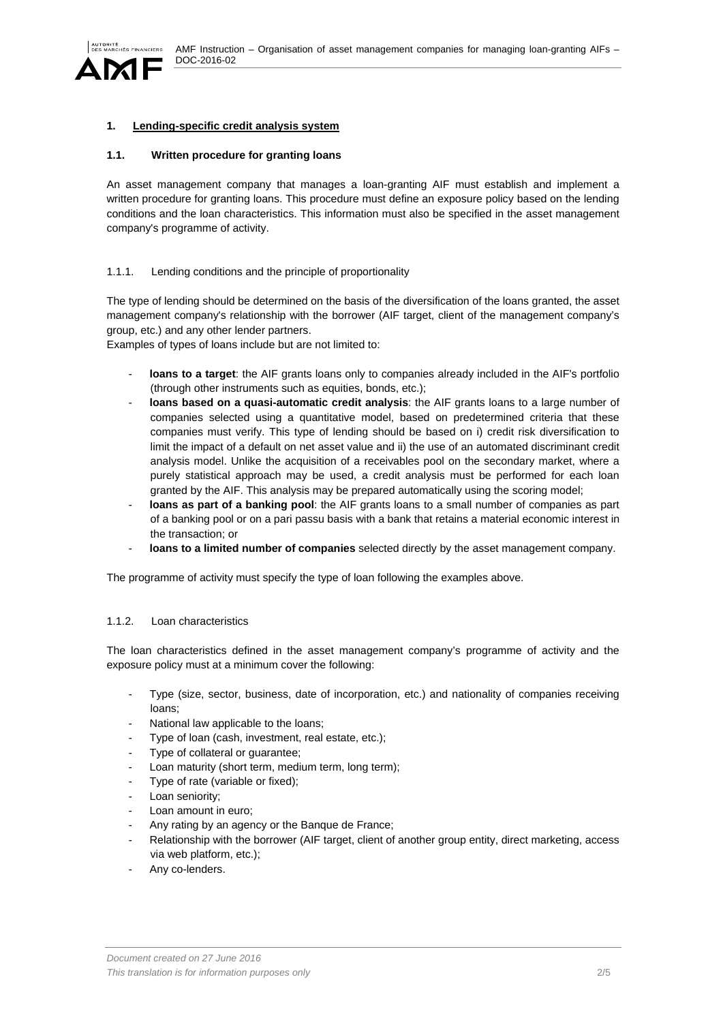

# **1. Lending-specific credit analysis system**

### **1.1. Written procedure for granting loans**

An asset management company that manages a loan-granting AIF must establish and implement a written procedure for granting loans. This procedure must define an exposure policy based on the lending conditions and the loan characteristics. This information must also be specified in the asset management company's programme of activity.

## 1.1.1. Lending conditions and the principle of proportionality

The type of lending should be determined on the basis of the diversification of the loans granted, the asset management company's relationship with the borrower (AIF target, client of the management company's group, etc.) and any other lender partners.

Examples of types of loans include but are not limited to:

- loans to a target: the AIF grants loans only to companies already included in the AIF's portfolio (through other instruments such as equities, bonds, etc.);
- loans based on a quasi-automatic credit analysis: the AIF grants loans to a large number of companies selected using a quantitative model, based on predetermined criteria that these companies must verify. This type of lending should be based on i) credit risk diversification to limit the impact of a default on net asset value and ii) the use of an automated discriminant credit analysis model. Unlike the acquisition of a receivables pool on the secondary market, where a purely statistical approach may be used, a credit analysis must be performed for each loan granted by the AIF. This analysis may be prepared automatically using the scoring model;
- loans as part of a banking pool: the AIF grants loans to a small number of companies as part of a banking pool or on a pari passu basis with a bank that retains a material economic interest in the transaction; or
- **loans to a limited number of companies** selected directly by the asset management company.

The programme of activity must specify the type of loan following the examples above.

### 1.1.2. Loan characteristics

The loan characteristics defined in the asset management company's programme of activity and the exposure policy must at a minimum cover the following:

- Type (size, sector, business, date of incorporation, etc.) and nationality of companies receiving loans;
- National law applicable to the loans;
- Type of loan (cash, investment, real estate, etc.);
- Type of collateral or quarantee;
- Loan maturity (short term, medium term, long term);
- Type of rate (variable or fixed);
- Loan seniority;
- Loan amount in euro;
- Any rating by an agency or the Banque de France;
- Relationship with the borrower (AIF target, client of another group entity, direct marketing, access via web platform, etc.);
- Any co-lenders.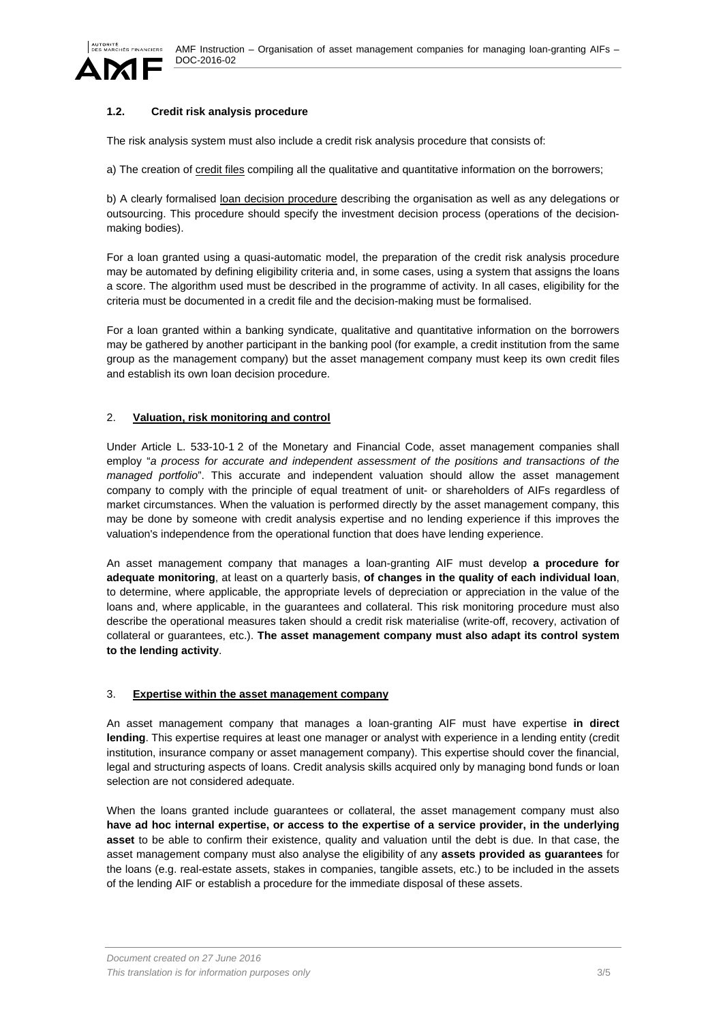

### **1.2. Credit risk analysis procedure**

The risk analysis system must also include a credit risk analysis procedure that consists of:

a) The creation of credit files compiling all the qualitative and quantitative information on the borrowers;

b) A clearly formalised loan decision procedure describing the organisation as well as any delegations or outsourcing. This procedure should specify the investment decision process (operations of the decisionmaking bodies).

For a loan granted using a quasi-automatic model, the preparation of the credit risk analysis procedure may be automated by defining eligibility criteria and, in some cases, using a system that assigns the loans a score. The algorithm used must be described in the programme of activity. In all cases, eligibility for the criteria must be documented in a credit file and the decision-making must be formalised.

For a loan granted within a banking syndicate, qualitative and quantitative information on the borrowers may be gathered by another participant in the banking pool (for example, a credit institution from the same group as the management company) but the asset management company must keep its own credit files and establish its own loan decision procedure.

### 2. **Valuation, risk monitoring and control**

Under Article L. 533-10-1 2 of the Monetary and Financial Code, asset management companies shall employ "*a process for accurate and independent assessment of the positions and transactions of the managed portfolio*". This accurate and independent valuation should allow the asset management company to comply with the principle of equal treatment of unit- or shareholders of AIFs regardless of market circumstances. When the valuation is performed directly by the asset management company, this may be done by someone with credit analysis expertise and no lending experience if this improves the valuation's independence from the operational function that does have lending experience.

An asset management company that manages a loan-granting AIF must develop **a procedure for adequate monitoring**, at least on a quarterly basis, **of changes in the quality of each individual loan**, to determine, where applicable, the appropriate levels of depreciation or appreciation in the value of the loans and, where applicable, in the guarantees and collateral. This risk monitoring procedure must also describe the operational measures taken should a credit risk materialise (write-off, recovery, activation of collateral or guarantees, etc.). **The asset management company must also adapt its control system to the lending activity**.

#### 3. **Expertise within the asset management company**

An asset management company that manages a loan-granting AIF must have expertise **in direct lending**. This expertise requires at least one manager or analyst with experience in a lending entity (credit institution, insurance company or asset management company). This expertise should cover the financial, legal and structuring aspects of loans. Credit analysis skills acquired only by managing bond funds or loan selection are not considered adequate.

When the loans granted include guarantees or collateral, the asset management company must also **have ad hoc internal expertise, or access to the expertise of a service provider, in the underlying asset** to be able to confirm their existence, quality and valuation until the debt is due. In that case, the asset management company must also analyse the eligibility of any **assets provided as guarantees** for the loans (e.g. real-estate assets, stakes in companies, tangible assets, etc.) to be included in the assets of the lending AIF or establish a procedure for the immediate disposal of these assets.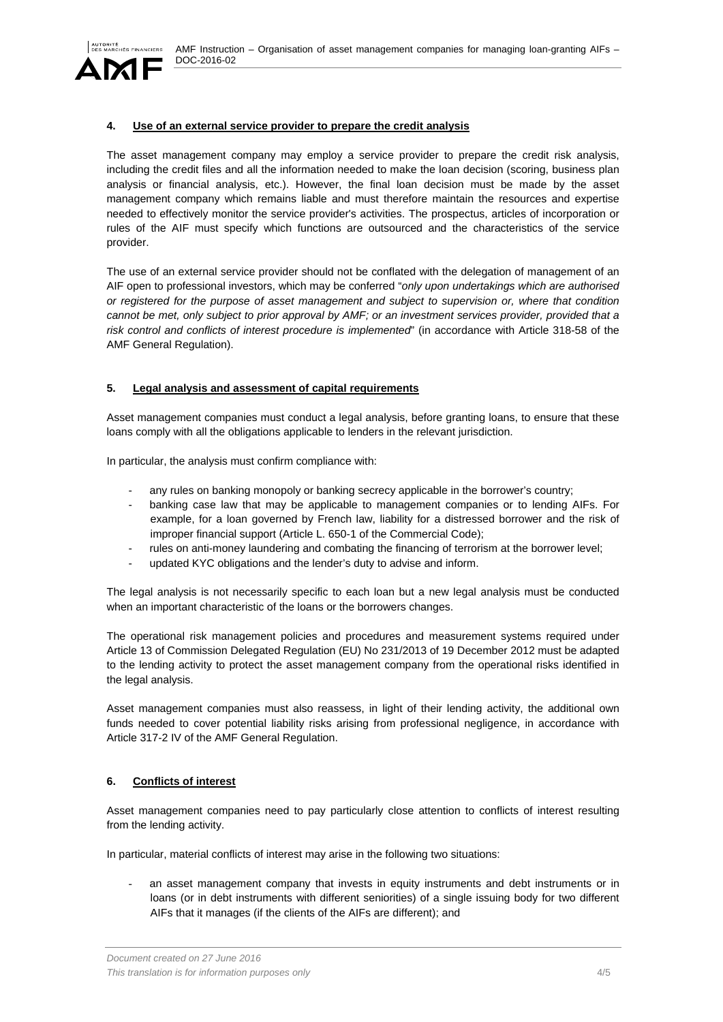

# **4. Use of an external service provider to prepare the credit analysis**

The asset management company may employ a service provider to prepare the credit risk analysis, including the credit files and all the information needed to make the loan decision (scoring, business plan analysis or financial analysis, etc.). However, the final loan decision must be made by the asset management company which remains liable and must therefore maintain the resources and expertise needed to effectively monitor the service provider's activities. The prospectus, articles of incorporation or rules of the AIF must specify which functions are outsourced and the characteristics of the service provider.

The use of an external service provider should not be conflated with the delegation of management of an AIF open to professional investors, which may be conferred "*only upon undertakings which are authorised or registered for the purpose of asset management and subject to supervision or, where that condition cannot be met, only subject to prior approval by AMF; or an investment services provider, provided that a risk control and conflicts of interest procedure is implemented*" (in accordance with Article 318-58 of the AMF General Regulation).

# **5. Legal analysis and assessment of capital requirements**

Asset management companies must conduct a legal analysis, before granting loans, to ensure that these loans comply with all the obligations applicable to lenders in the relevant jurisdiction.

In particular, the analysis must confirm compliance with:

- any rules on banking monopoly or banking secrecy applicable in the borrower's country;
- banking case law that may be applicable to management companies or to lending AIFs. For example, for a loan governed by French law, liability for a distressed borrower and the risk of improper financial support (Article L. 650-1 of the Commercial Code);
- rules on anti-money laundering and combating the financing of terrorism at the borrower level;
- updated KYC obligations and the lender's duty to advise and inform.

The legal analysis is not necessarily specific to each loan but a new legal analysis must be conducted when an important characteristic of the loans or the borrowers changes.

The operational risk management policies and procedures and measurement systems required under Article 13 of Commission Delegated Regulation (EU) No 231/2013 of 19 December 2012 must be adapted to the lending activity to protect the asset management company from the operational risks identified in the legal analysis.

Asset management companies must also reassess, in light of their lending activity, the additional own funds needed to cover potential liability risks arising from professional negligence, in accordance with Article 317-2 IV of the AMF General Regulation.

# **6. Conflicts of interest**

Asset management companies need to pay particularly close attention to conflicts of interest resulting from the lending activity.

In particular, material conflicts of interest may arise in the following two situations:

an asset management company that invests in equity instruments and debt instruments or in loans (or in debt instruments with different seniorities) of a single issuing body for two different AIFs that it manages (if the clients of the AIFs are different); and